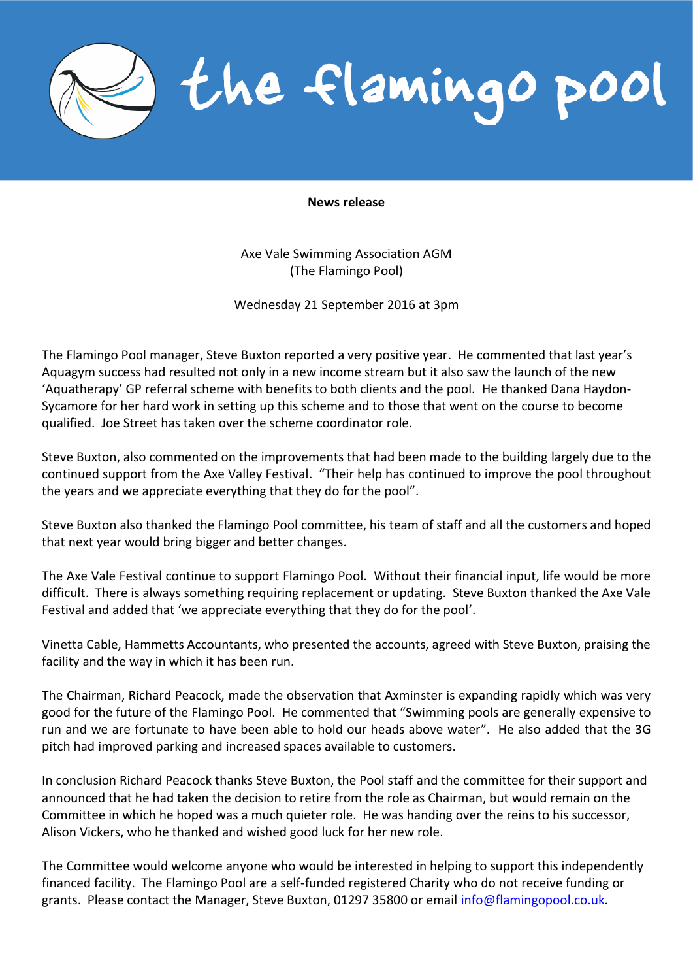the flamingo pool

## **News release**

Axe Vale Swimming Association AGM (The Flamingo Pool)

Wednesday 21 September 2016 at 3pm

The Flamingo Pool manager, Steve Buxton reported a very positive year. He commented that last year's Aquagym success had resulted not only in a new income stream but it also saw the launch of the new 'Aquatherapy' GP referral scheme with benefits to both clients and the pool. He thanked Dana Haydon-Sycamore for her hard work in setting up this scheme and to those that went on the course to become qualified. Joe Street has taken over the scheme coordinator role.

Steve Buxton, also commented on the improvements that had been made to the building largely due to the continued support from the Axe Valley Festival. "Their help has continued to improve the pool throughout the years and we appreciate everything that they do for the pool".

Steve Buxton also thanked the Flamingo Pool committee, his team of staff and all the customers and hoped that next year would bring bigger and better changes.

The Axe Vale Festival continue to support Flamingo Pool. Without their financial input, life would be more difficult. There is always something requiring replacement or updating. Steve Buxton thanked the Axe Vale Festival and added that 'we appreciate everything that they do for the pool'.

Vinetta Cable, Hammetts Accountants, who presented the accounts, agreed with Steve Buxton, praising the facility and the way in which it has been run.

The Chairman, Richard Peacock, made the observation that Axminster is expanding rapidly which was very good for the future of the Flamingo Pool. He commented that "Swimming pools are generally expensive to run and we are fortunate to have been able to hold our heads above water". He also added that the 3G pitch had improved parking and increased spaces available to customers.

In conclusion Richard Peacock thanks Steve Buxton, the Pool staff and the committee for their support and announced that he had taken the decision to retire from the role as Chairman, but would remain on the Committee in which he hoped was a much quieter role. He was handing over the reins to his successor, Alison Vickers, who he thanked and wished good luck for her new role.

The Committee would welcome anyone who would be interested in helping to support this independently financed facility. The Flamingo Pool are a self-funded registered Charity who do not receive funding or grants. Please contact the Manager, Steve Buxton, 01297 35800 or email [info@flamingopool.co.uk.](mailto:info@flamingopool.co.uk)